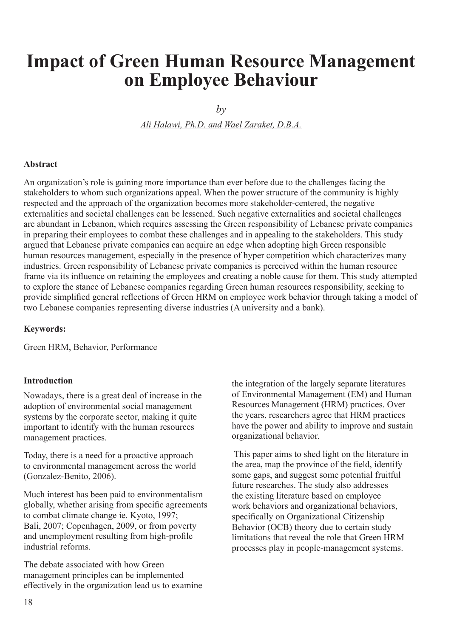# **Impact of Green Human Resource Management on Employee Behaviour**

 $b\nu$ 

*Ali Halawi, Ph.D. and Wael Zaraket, D.B.A.*

#### **Abstract**

An organization's role is gaining more importance than ever before due to the challenges facing the stakeholders to whom such organizations appeal. When the power structure of the community is highly respected and the approach of the organization becomes more stakeholder-centered, the negative externalities and societal challenges can be lessened. Such negative externalities and societal challenges are abundant in Lebanon, which requires assessing the Green responsibility of Lebanese private companies in preparing their employees to combat these challenges and in appealing to the stakeholders. This study argued that Lebanese private companies can acquire an edge when adopting high Green responsible human resources management, especially in the presence of hyper competition which characterizes many industries. Green responsibility of Lebanese private companies is perceived within the human resource frame via its influence on retaining the employees and creating a noble cause for them. This study attempted to explore the stance of Lebanese companies regarding Green human resources responsibility, seeking to provide simplified general reflections of Green HRM on employee work behavior through taking a model of two Lebanese companies representing diverse industries (A university and a bank).

#### **Keywords:**

Green HRM, Behavior, Performance

#### **Introduction**

Nowadays, there is a great deal of increase in the adoption of environmental social management systems by the corporate sector, making it quite important to identify with the human resources management practices.

Today, there is a need for a proactive approach to environmental management across the world (Gonzalez-Benito, 2006).

Much interest has been paid to environmentalism globally, whether arising from specific agreements to combat climate change ie. Kyoto, 1997; Bali, 2007; Copenhagen, 2009, or from poverty and unemployment resulting from high-profile industrial reforms.

The debate associated with how Green management principles can be implemented effectively in the organization lead us to examine

the integration of the largely separate literatures of Environmental Management (EM) and Human Resources Management (HRM) practices. Over the years, researchers agree that HRM practices have the power and ability to improve and sustain organizational behavior.

 This paper aims to shed light on the literature in the area, map the province of the field, identify some gaps, and suggest some potential fruitful future researches. The study also addresses the existing literature based on employee work behaviors and organizational behaviors, specifically on Organizational Citizenship Behavior (OCB) theory due to certain study limitations that reveal the role that Green HRM processes play in people-management systems.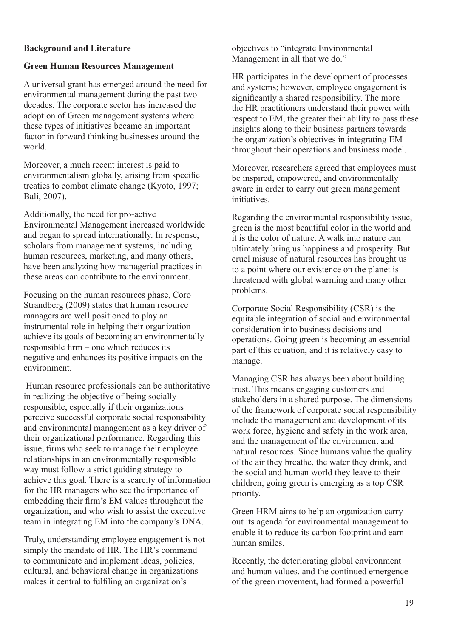## **Background and Literature**

## **Green Human Resources Management**

A universal grant has emerged around the need for environmental management during the past two decades. The corporate sector has increased the adoption of Green management systems where these types of initiatives became an important factor in forward thinking businesses around the world.

Moreover, a much recent interest is paid to environmentalism globally, arising from specific treaties to combat climate change (Kyoto, 1997; Bali, 2007).

Additionally, the need for pro-active Environmental Management increased worldwide and began to spread internationally. In response, scholars from management systems, including human resources, marketing, and many others, have been analyzing how managerial practices in these areas can contribute to the environment.

Focusing on the human resources phase, Coro Strandberg (2009) states that human resource managers are well positioned to play an instrumental role in helping their organization achieve its goals of becoming an environmentally responsible firm – one which reduces its negative and enhances its positive impacts on the environment.

 Human resource professionals can be authoritative in realizing the objective of being socially responsible, especially if their organizations perceive successful corporate social responsibility and environmental management as a key driver of their organizational performance. Regarding this issue, firms who seek to manage their employee relationships in an environmentally responsible way must follow a strict guiding strategy to achieve this goal. There is a scarcity of information for the HR managers who see the importance of embedding their firm's EM values throughout the organization, and who wish to assist the executive team in integrating EM into the company's DNA.

Truly, understanding employee engagement is not simply the mandate of HR. The HR's command to communicate and implement ideas, policies, cultural, and behavioral change in organizations makes it central to fulfiling an organization's

objectives to "integrate Environmental Management in all that we do."

HR participates in the development of processes and systems; however, employee engagement is significantly a shared responsibility. The more the HR practitioners understand their power with respect to EM, the greater their ability to pass these insights along to their business partners towards the organization's objectives in integrating EM throughout their operations and business model.

Moreover, researchers agreed that employees must be inspired, empowered, and environmentally aware in order to carry out green management initiatives.

Regarding the environmental responsibility issue, green is the most beautiful color in the world and it is the color of nature. A walk into nature can ultimately bring us happiness and prosperity. But cruel misuse of natural resources has brought us to a point where our existence on the planet is threatened with global warming and many other problems.

Corporate Social Responsibility (CSR) is the equitable integration of social and environmental consideration into business decisions and operations. Going green is becoming an essential part of this equation, and it is relatively easy to manage.

Managing CSR has always been about building trust. This means engaging customers and stakeholders in a shared purpose. The dimensions of the framework of corporate social responsibility include the management and development of its work force, hygiene and safety in the work area, and the management of the environment and natural resources. Since humans value the quality of the air they breathe, the water they drink, and the social and human world they leave to their children, going green is emerging as a top CSR priority.

Green HRM aims to help an organization carry out its agenda for environmental management to enable it to reduce its carbon footprint and earn human smiles.

Recently, the deteriorating global environment and human values, and the continued emergence of the green movement, had formed a powerful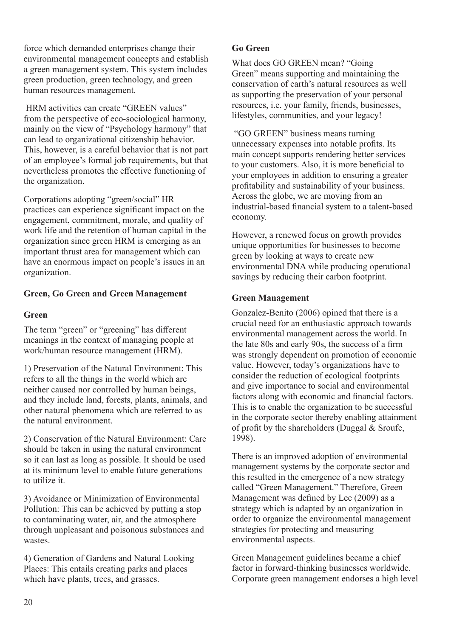force which demanded enterprises change their environmental management concepts and establish a green management system. This system includes green production, green technology, and green human resources management.

 HRM activities can create "GREEN values" from the perspective of eco-sociological harmony, mainly on the view of "Psychology harmony" that can lead to organizational citizenship behavior. This, however, is a careful behavior that is not part of an employee's formal job requirements, but that nevertheless promotes the effective functioning of the organization.

Corporations adopting "green/social" HR practices can experience significant impact on the engagement, commitment, morale, and quality of work life and the retention of human capital in the organization since green HRM is emerging as an important thrust area for management which can have an enormous impact on people's issues in an organization.

## **Green, Go Green and Green Management**

## **Green**

The term "green" or "greening" has different meanings in the context of managing people at work/human resource management (HRM).

1) Preservation of the Natural Environment: This refers to all the things in the world which are neither caused nor controlled by human beings, and they include land, forests, plants, animals, and other natural phenomena which are referred to as the natural environment.

2) Conservation of the Natural Environment: Care should be taken in using the natural environment so it can last as long as possible. It should be used at its minimum level to enable future generations to utilize it.

3) Avoidance or Minimization of Environmental Pollution: This can be achieved by putting a stop to contaminating water, air, and the atmosphere through unpleasant and poisonous substances and wastes.

4) Generation of Gardens and Natural Looking Places: This entails creating parks and places which have plants, trees, and grasses.

## **Go Green**

What does GO GREEN mean? "Going Green" means supporting and maintaining the conservation of earth's natural resources as well as supporting the preservation of your personal resources, i.e. your family, friends, businesses, lifestyles, communities, and your legacy!

 "GO GREEN" business means turning unnecessary expenses into notable profits. Its main concept supports rendering better services to your customers. Also, it is more beneficial to your employees in addition to ensuring a greater profitability and sustainability of your business. Across the globe, we are moving from an industrial-based financial system to a talent-based economy.

However, a renewed focus on growth provides unique opportunities for businesses to become green by looking at ways to create new environmental DNA while producing operational savings by reducing their carbon footprint.

## **Green Management**

Gonzalez-Benito (2006) opined that there is a crucial need for an enthusiastic approach towards environmental management across the world. In the late 80s and early 90s, the success of a firm was strongly dependent on promotion of economic value. However, today's organizations have to consider the reduction of ecological footprints and give importance to social and environmental factors along with economic and financial factors. This is to enable the organization to be successful in the corporate sector thereby enabling attainment of profit by the shareholders (Duggal & Sroufe, 1998).

There is an improved adoption of environmental management systems by the corporate sector and this resulted in the emergence of a new strategy called "Green Management." Therefore, Green Management was defined by Lee (2009) as a strategy which is adapted by an organization in order to organize the environmental management strategies for protecting and measuring environmental aspects.

Green Management guidelines became a chief factor in forward-thinking businesses worldwide. Corporate green management endorses a high level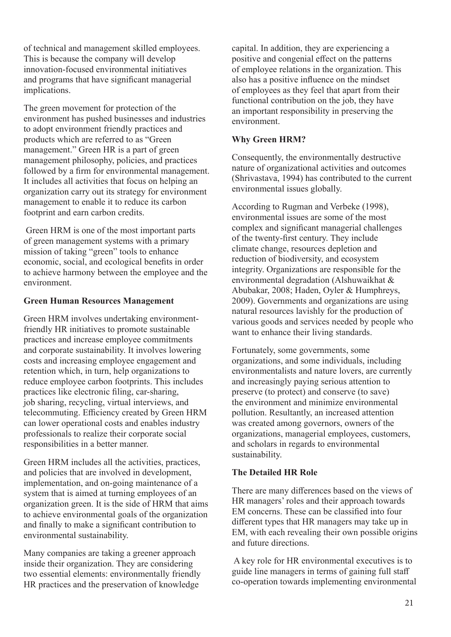of technical and management skilled employees. This is because the company will develop innovation-focused environmental initiatives and programs that have significant managerial implications.

The green movement for protection of the environment has pushed businesses and industries to adopt environment friendly practices and products which are referred to as "Green management." Green HR is a part of green management philosophy, policies, and practices followed by a firm for environmental management. It includes all activities that focus on helping an organization carry out its strategy for environment management to enable it to reduce its carbon footprint and earn carbon credits.

 Green HRM is one of the most important parts of green management systems with a primary mission of taking "green" tools to enhance economic, social, and ecological benefits in order to achieve harmony between the employee and the environment.

## **Green Human Resources Management**

Green HRM involves undertaking environmentfriendly HR initiatives to promote sustainable practices and increase employee commitments and corporate sustainability. It involves lowering costs and increasing employee engagement and retention which, in turn, help organizations to reduce employee carbon footprints. This includes practices like electronic filing, car-sharing, job sharing, recycling, virtual interviews, and telecommuting. Efficiency created by Green HRM can lower operational costs and enables industry professionals to realize their corporate social responsibilities in a better manner.

Green HRM includes all the activities, practices, and policies that are involved in development, implementation, and on-going maintenance of a system that is aimed at turning employees of an organization green. It is the side of HRM that aims to achieve environmental goals of the organization and finally to make a significant contribution to environmental sustainability.

Many companies are taking a greener approach inside their organization. They are considering two essential elements: environmentally friendly HR practices and the preservation of knowledge

capital. In addition, they are experiencing a positive and congenial effect on the patterns of employee relations in the organization. This also has a positive influence on the mindset of employees as they feel that apart from their functional contribution on the job, they have an important responsibility in preserving the environment.

# **Why Green HRM?**

Consequently, the environmentally destructive nature of organizational activities and outcomes (Shrivastava, 1994) has contributed to the current environmental issues globally.

According to Rugman and Verbeke (1998), environmental issues are some of the most complex and significant managerial challenges of the twenty-first century. They include climate change, resources depletion and reduction of biodiversity, and ecosystem integrity. Organizations are responsible for the environmental degradation (Alshuwaikhat & Abubakar, 2008; Haden, Oyler & Humphreys, 2009). Governments and organizations are using natural resources lavishly for the production of various goods and services needed by people who want to enhance their living standards.

Fortunately, some governments, some organizations, and some individuals, including environmentalists and nature lovers, are currently and increasingly paying serious attention to preserve (to protect) and conserve (to save) the environment and minimize environmental pollution. Resultantly, an increased attention was created among governors, owners of the organizations, managerial employees, customers, and scholars in regards to environmental sustainability.

## **The Detailed HR Role**

There are many differences based on the views of HR managers' roles and their approach towards EM concerns. These can be classified into four different types that HR managers may take up in EM, with each revealing their own possible origins and future directions.

 A key role for HR environmental executives is to guide line managers in terms of gaining full staff co-operation towards implementing environmental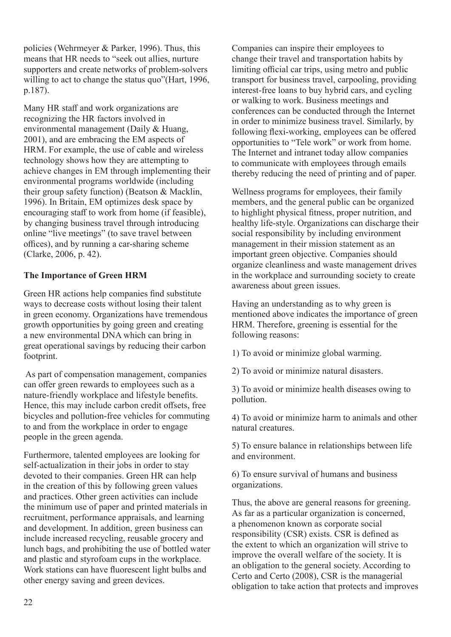policies (Wehrmeyer & Parker, 1996). Thus, this means that HR needs to "seek out allies, nurture supporters and create networks of problem-solvers willing to act to change the status quo"(Hart, 1996, p.187).

Many HR staff and work organizations are recognizing the HR factors involved in environmental management (Daily & Huang, 2001), and are embracing the EM aspects of HRM. For example, the use of cable and wireless technology shows how they are attempting to achieve changes in EM through implementing their environmental programs worldwide (including their group safety function) (Beatson & Macklin, 1996). In Britain, EM optimizes desk space by encouraging staff to work from home (if feasible), by changing business travel through introducing online "live meetings" (to save travel between offices), and by running a car-sharing scheme (Clarke, 2006, p. 42).

## **The Importance of Green HRM**

Green HR actions help companies find substitute ways to decrease costs without losing their talent in green economy. Organizations have tremendous growth opportunities by going green and creating a new environmental DNA which can bring in great operational savings by reducing their carbon footprint.

 As part of compensation management, companies can offer green rewards to employees such as a nature-friendly workplace and lifestyle benefits. Hence, this may include carbon credit offsets, free bicycles and pollution-free vehicles for commuting to and from the workplace in order to engage people in the green agenda.

Furthermore, talented employees are looking for self-actualization in their jobs in order to stay devoted to their companies. Green HR can help in the creation of this by following green values and practices. Other green activities can include the minimum use of paper and printed materials in recruitment, performance appraisals, and learning and development. In addition, green business can include increased recycling, reusable grocery and lunch bags, and prohibiting the use of bottled water and plastic and styrofoam cups in the workplace. Work stations can have fluorescent light bulbs and other energy saving and green devices.

Companies can inspire their employees to change their travel and transportation habits by limiting official car trips, using metro and public transport for business travel, carpooling, providing interest-free loans to buy hybrid cars, and cycling or walking to work. Business meetings and conferences can be conducted through the Internet in order to minimize business travel. Similarly, by following flexi-working, employees can be offered opportunities to "Tele work" or work from home. The Internet and intranet today allow companies to communicate with employees through emails thereby reducing the need of printing and of paper.

Wellness programs for employees, their family members, and the general public can be organized to highlight physical fitness, proper nutrition, and healthy life-style. Organizations can discharge their social responsibility by including environment management in their mission statement as an important green objective. Companies should organize cleanliness and waste management drives in the workplace and surrounding society to create awareness about green issues.

Having an understanding as to why green is mentioned above indicates the importance of green HRM. Therefore, greening is essential for the following reasons:

1) To avoid or minimize global warming.

2) To avoid or minimize natural disasters.

3) To avoid or minimize health diseases owing to pollution.

4) To avoid or minimize harm to animals and other natural creatures.

5) To ensure balance in relationships between life and environment.

6) To ensure survival of humans and business organizations.

Thus, the above are general reasons for greening. As far as a particular organization is concerned, a phenomenon known as corporate social responsibility (CSR) exists. CSR is defined as the extent to which an organization will strive to improve the overall welfare of the society. It is an obligation to the general society. According to Certo and Certo (2008), CSR is the managerial obligation to take action that protects and improves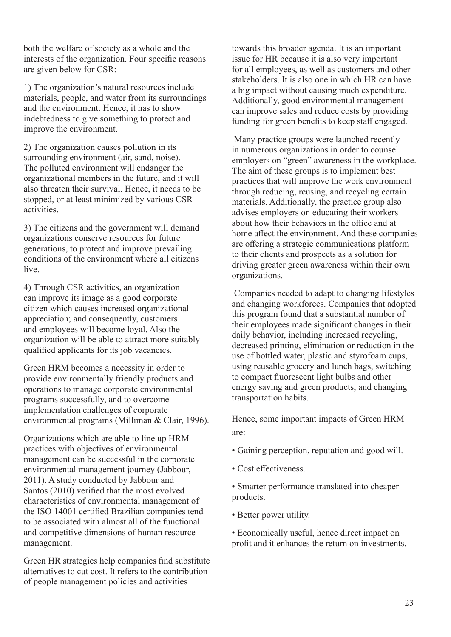both the welfare of society as a whole and the interests of the organization. Four specific reasons are given below for CSR:

1) The organization's natural resources include materials, people, and water from its surroundings and the environment. Hence, it has to show indebtedness to give something to protect and improve the environment.

2) The organization causes pollution in its surrounding environment (air, sand, noise). The polluted environment will endanger the organizational members in the future, and it will also threaten their survival. Hence, it needs to be stopped, or at least minimized by various CSR activities.

3) The citizens and the government will demand organizations conserve resources for future generations, to protect and improve prevailing conditions of the environment where all citizens live.

4) Through CSR activities, an organization can improve its image as a good corporate citizen which causes increased organizational appreciation; and consequently, customers and employees will become loyal. Also the organization will be able to attract more suitably qualified applicants for its job vacancies.

Green HRM becomes a necessity in order to provide environmentally friendly products and operations to manage corporate environmental programs successfully, and to overcome implementation challenges of corporate environmental programs (Milliman & Clair, 1996).

Organizations which are able to line up HRM practices with objectives of environmental management can be successful in the corporate environmental management journey (Jabbour, 2011). A study conducted by Jabbour and Santos (2010) verified that the most evolved characteristics of environmental management of the ISO 14001 certified Brazilian companies tend to be associated with almost all of the functional and competitive dimensions of human resource management.

Green HR strategies help companies find substitute alternatives to cut cost. It refers to the contribution of people management policies and activities

towards this broader agenda. It is an important issue for HR because it is also very important for all employees, as well as customers and other stakeholders. It is also one in which HR can have a big impact without causing much expenditure. Additionally, good environmental management can improve sales and reduce costs by providing funding for green benefits to keep staff engaged.

 Many practice groups were launched recently in numerous organizations in order to counsel employers on "green" awareness in the workplace. The aim of these groups is to implement best practices that will improve the work environment through reducing, reusing, and recycling certain materials. Additionally, the practice group also advises employers on educating their workers about how their behaviors in the office and at home affect the environment. And these companies are offering a strategic communications platform to their clients and prospects as a solution for driving greater green awareness within their own organizations.

 Companies needed to adapt to changing lifestyles and changing workforces. Companies that adopted this program found that a substantial number of their employees made significant changes in their daily behavior, including increased recycling, decreased printing, elimination or reduction in the use of bottled water, plastic and styrofoam cups, using reusable grocery and lunch bags, switching to compact fluorescent light bulbs and other energy saving and green products, and changing transportation habits.

Hence, some important impacts of Green HRM are:

- Gaining perception, reputation and good will.
- Cost effectiveness.

• Smarter performance translated into cheaper products.

• Better power utility.

• Economically useful, hence direct impact on profit and it enhances the return on investments.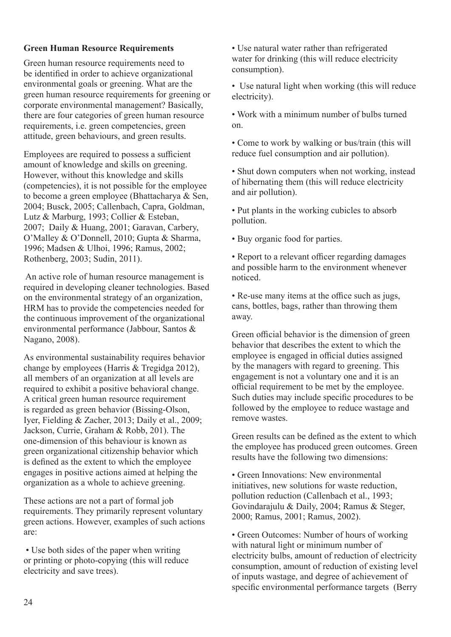## **Green Human Resource Requirements**

Green human resource requirements need to be identified in order to achieve organizational environmental goals or greening. What are the green human resource requirements for greening or corporate environmental management? Basically, there are four categories of green human resource requirements, i.e. green competencies, green attitude, green behaviours, and green results.

Employees are required to possess a sufficient amount of knowledge and skills on greening. However, without this knowledge and skills (competencies), it is not possible for the employee to become a green employee (Bhattacharya & Sen, 2004; Busck, 2005; Callenbach, Capra, Goldman, Lutz & Marburg, 1993; Collier & Esteban, 2007; Daily & Huang, 2001; Garavan, Carbery, O'Malley & O'Donnell, 2010; Gupta & Sharma, 1996; Madsen & Ulhoi, 1996; Ramus, 2002; Rothenberg, 2003; Sudin, 2011).

 An active role of human resource management is required in developing cleaner technologies. Based on the environmental strategy of an organization, HRM has to provide the competencies needed for the continuous improvement of the organizational environmental performance (Jabbour, Santos & Nagano, 2008).

As environmental sustainability requires behavior change by employees (Harris & Tregidga 2012), all members of an organization at all levels are required to exhibit a positive behavioral change. A critical green human resource requirement is regarded as green behavior (Bissing-Olson, Iyer, Fielding & Zacher, 2013; Daily et al., 2009; Jackson, Currie, Graham & Robb, 201). The one-dimension of this behaviour is known as green organizational citizenship behavior which is defined as the extent to which the employee engages in positive actions aimed at helping the organization as a whole to achieve greening.

These actions are not a part of formal job requirements. They primarily represent voluntary green actions. However, examples of such actions are:

 • Use both sides of the paper when writing or printing or photo-copying (this will reduce electricity and save trees).

• Use natural water rather than refrigerated water for drinking (this will reduce electricity consumption).

• Use natural light when working (this will reduce electricity).

• Work with a minimum number of bulbs turned on.

• Come to work by walking or bus/train (this will reduce fuel consumption and air pollution).

• Shut down computers when not working, instead of hibernating them (this will reduce electricity and air pollution).

• Put plants in the working cubicles to absorb pollution.

• Buy organic food for parties.

• Report to a relevant officer regarding damages and possible harm to the environment whenever noticed.

• Re-use many items at the office such as jugs, cans, bottles, bags, rather than throwing them away.

Green official behavior is the dimension of green behavior that describes the extent to which the employee is engaged in official duties assigned by the managers with regard to greening. This engagement is not a voluntary one and it is an official requirement to be met by the employee. Such duties may include specific procedures to be followed by the employee to reduce wastage and remove wastes.

Green results can be defined as the extent to which the employee has produced green outcomes. Green results have the following two dimensions:

• Green Innovations: New environmental initiatives, new solutions for waste reduction, pollution reduction (Callenbach et al., 1993; Govindarajulu & Daily, 2004; Ramus & Steger, 2000; Ramus, 2001; Ramus, 2002).

• Green Outcomes: Number of hours of working with natural light or minimum number of electricity bulbs, amount of reduction of electricity consumption, amount of reduction of existing level of inputs wastage, and degree of achievement of specific environmental performance targets (Berry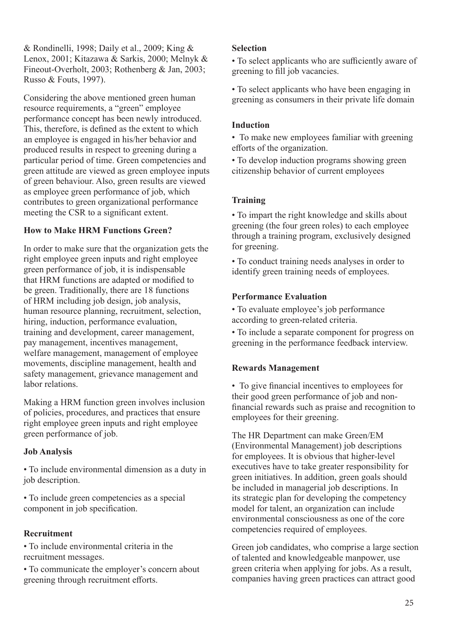& Rondinelli, 1998; Daily et al., 2009; King & Lenox, 2001; Kitazawa & Sarkis, 2000; Melnyk & Fineout-Overholt, 2003; Rothenberg & Jan, 2003; Russo & Fouts, 1997).

Considering the above mentioned green human resource requirements, a "green" employee performance concept has been newly introduced. This, therefore, is defined as the extent to which an employee is engaged in his/her behavior and produced results in respect to greening during a particular period of time. Green competencies and green attitude are viewed as green employee inputs of green behaviour. Also, green results are viewed as employee green performance of job, which contributes to green organizational performance meeting the CSR to a significant extent.

# **How to Make HRM Functions Green?**

In order to make sure that the organization gets the right employee green inputs and right employee green performance of job, it is indispensable that HRM functions are adapted or modified to be green. Traditionally, there are 18 functions of HRM including job design, job analysis, human resource planning, recruitment, selection, hiring, induction, performance evaluation, training and development, career management, pay management, incentives management, welfare management, management of employee movements, discipline management, health and safety management, grievance management and labor relations.

Making a HRM function green involves inclusion of policies, procedures, and practices that ensure right employee green inputs and right employee green performance of job.

# **Job Analysis**

• To include environmental dimension as a duty in job description.

• To include green competencies as a special component in job specification.

# **Recruitment**

• To include environmental criteria in the recruitment messages.

• To communicate the employer's concern about greening through recruitment efforts.

## **Selection**

• To select applicants who are sufficiently aware of greening to fill job vacancies.

• To select applicants who have been engaging in greening as consumers in their private life domain

## **Induction**

• To make new employees familiar with greening efforts of the organization.

• To develop induction programs showing green citizenship behavior of current employees

## **Training**

• To impart the right knowledge and skills about greening (the four green roles) to each employee through a training program, exclusively designed for greening.

• To conduct training needs analyses in order to identify green training needs of employees.

## **Performance Evaluation**

• To evaluate employee's job performance according to green-related criteria.

• To include a separate component for progress on greening in the performance feedback interview.

# **Rewards Management**

• To give financial incentives to employees for their good green performance of job and nonfinancial rewards such as praise and recognition to employees for their greening.

The HR Department can make Green/EM (Environmental Management) job descriptions for employees. It is obvious that higher-level executives have to take greater responsibility for green initiatives. In addition, green goals should be included in managerial job descriptions. In its strategic plan for developing the competency model for talent, an organization can include environmental consciousness as one of the core competencies required of employees.

Green job candidates, who comprise a large section of talented and knowledgeable manpower, use green criteria when applying for jobs. As a result, companies having green practices can attract good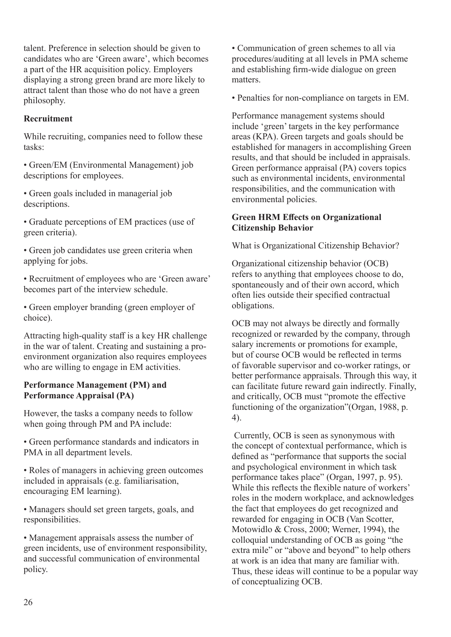talent. Preference in selection should be given to candidates who are 'Green aware', which becomes a part of the HR acquisition policy. Employers displaying a strong green brand are more likely to attract talent than those who do not have a green philosophy.

## **Recruitment**

While recruiting, companies need to follow these tasks:

• Green/EM (Environmental Management) job descriptions for employees.

• Green goals included in managerial job descriptions.

• Graduate perceptions of EM practices (use of green criteria).

• Green job candidates use green criteria when applying for jobs.

• Recruitment of employees who are 'Green aware' becomes part of the interview schedule.

• Green employer branding (green employer of choice).

Attracting high-quality staff is a key HR challenge in the war of talent. Creating and sustaining a proenvironment organization also requires employees who are willing to engage in EM activities.

#### **Performance Management (PM) and Performance Appraisal (PA)**

However, the tasks a company needs to follow when going through PM and PA include:

• Green performance standards and indicators in PMA in all department levels.

• Roles of managers in achieving green outcomes included in appraisals (e.g. familiarisation, encouraging EM learning).

• Managers should set green targets, goals, and responsibilities.

• Management appraisals assess the number of green incidents, use of environment responsibility, and successful communication of environmental policy.

• Communication of green schemes to all via procedures/auditing at all levels in PMA scheme and establishing firm-wide dialogue on green matters.

• Penalties for non-compliance on targets in EM.

Performance management systems should include 'green' targets in the key performance areas (KPA). Green targets and goals should be established for managers in accomplishing Green results, and that should be included in appraisals. Green performance appraisal (PA) covers topics such as environmental incidents, environmental responsibilities, and the communication with environmental policies.

## **Green HRM Effects on Organizational Citizenship Behavior**

What is Organizational Citizenship Behavior?

Organizational citizenship behavior (OCB) refers to anything that employees choose to do, spontaneously and of their own accord, which often lies outside their specified contractual obligations.

OCB may not always be directly and formally recognized or rewarded by the company, through salary increments or promotions for example, but of course OCB would be reflected in terms of favorable supervisor and co-worker ratings, or better performance appraisals. Through this way, it can facilitate future reward gain indirectly. Finally, and critically, OCB must "promote the effective functioning of the organization"(Organ, 1988, p. 4).

 Currently, OCB is seen as synonymous with the concept of contextual performance, which is defined as "performance that supports the social and psychological environment in which task performance takes place" (Organ, 1997, p. 95). While this reflects the flexible nature of workers' roles in the modern workplace, and acknowledges the fact that employees do get recognized and rewarded for engaging in OCB (Van Scotter, Motowidlo & Cross, 2000; Werner, 1994), the colloquial understanding of OCB as going "the extra mile" or "above and beyond" to help others at work is an idea that many are familiar with. Thus, these ideas will continue to be a popular way of conceptualizing OCB.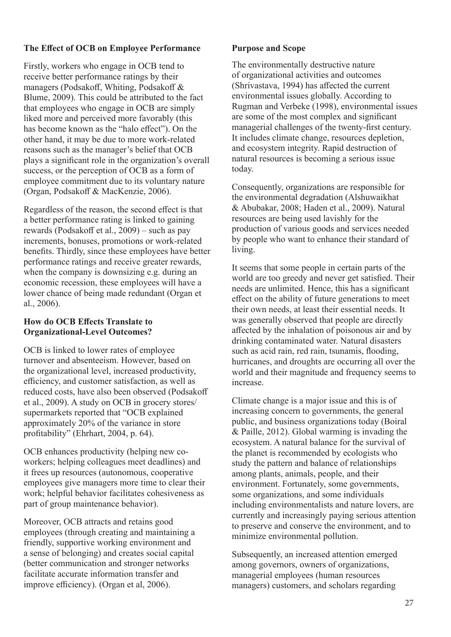# **The Effect of OCB on Employee Performance**

Firstly, workers who engage in OCB tend to receive better performance ratings by their managers (Podsakoff, Whiting, Podsakoff & Blume, 2009). This could be attributed to the fact that employees who engage in OCB are simply liked more and perceived more favorably (this has become known as the "halo effect"). On the other hand, it may be due to more work-related reasons such as the manager's belief that OCB plays a significant role in the organization's overall success, or the perception of OCB as a form of employee commitment due to its voluntary nature (Organ, Podsakoff & MacKenzie, 2006).

Regardless of the reason, the second effect is that a better performance rating is linked to gaining rewards (Podsakoff et al., 2009) – such as pay increments, bonuses, promotions or work-related benefits. Thirdly, since these employees have better performance ratings and receive greater rewards, when the company is downsizing e.g. during an economic recession, these employees will have a lower chance of being made redundant (Organ et al., 2006).

#### **How do OCB Effects Translate to Organizational-Level Outcomes?**

OCB is linked to lower rates of employee turnover and absenteeism. However, based on the organizational level, increased productivity, efficiency, and customer satisfaction, as well as reduced costs, have also been observed (Podsakoff et al., 2009). A study on OCB in grocery stores/ supermarkets reported that "OCB explained approximately 20% of the variance in store profitability" (Ehrhart, 2004, p. 64).

OCB enhances productivity (helping new coworkers; helping colleagues meet deadlines) and it frees up resources (autonomous, cooperative employees give managers more time to clear their work; helpful behavior facilitates cohesiveness as part of group maintenance behavior).

Moreover, OCB attracts and retains good employees (through creating and maintaining a friendly, supportive working environment and a sense of belonging) and creates social capital (better communication and stronger networks facilitate accurate information transfer and improve efficiency). (Organ et al, 2006).

#### **Purpose and Scope**

The environmentally destructive nature of organizational activities and outcomes (Shrivastava, 1994) has affected the current environmental issues globally. According to Rugman and Verbeke (1998), environmental issues are some of the most complex and significant managerial challenges of the twenty-first century. It includes climate change, resources depletion, and ecosystem integrity. Rapid destruction of natural resources is becoming a serious issue today.

Consequently, organizations are responsible for the environmental degradation (Alshuwaikhat & Abubakar, 2008; Haden et al., 2009). Natural resources are being used lavishly for the production of various goods and services needed by people who want to enhance their standard of living.

It seems that some people in certain parts of the world are too greedy and never get satisfied. Their needs are unlimited. Hence, this has a significant effect on the ability of future generations to meet their own needs, at least their essential needs. It was generally observed that people are directly affected by the inhalation of poisonous air and by drinking contaminated water. Natural disasters such as acid rain, red rain, tsunamis, flooding, hurricanes, and droughts are occurring all over the world and their magnitude and frequency seems to increase.

Climate change is a major issue and this is of increasing concern to governments, the general public, and business organizations today (Boiral & Paille, 2012). Global warming is invading the ecosystem. A natural balance for the survival of the planet is recommended by ecologists who study the pattern and balance of relationships among plants, animals, people, and their environment. Fortunately, some governments, some organizations, and some individuals including environmentalists and nature lovers, are currently and increasingly paying serious attention to preserve and conserve the environment, and to minimize environmental pollution.

Subsequently, an increased attention emerged among governors, owners of organizations, managerial employees (human resources managers) customers, and scholars regarding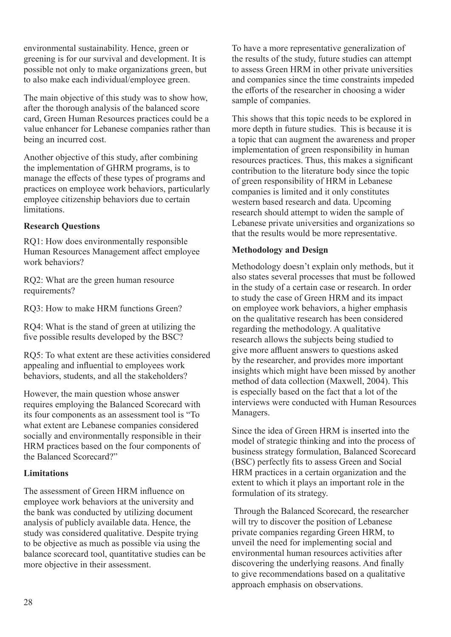environmental sustainability. Hence, green or greening is for our survival and development. It is possible not only to make organizations green, but to also make each individual/employee green.

The main objective of this study was to show how, after the thorough analysis of the balanced score card, Green Human Resources practices could be a value enhancer for Lebanese companies rather than being an incurred cost.

Another objective of this study, after combining the implementation of GHRM programs, is to manage the effects of these types of programs and practices on employee work behaviors, particularly employee citizenship behaviors due to certain limitations.

## **Research Questions**

RQ1: How does environmentally responsible Human Resources Management affect employee work behaviors?

RQ2: What are the green human resource requirements?

RQ3: How to make HRM functions Green?

RQ4: What is the stand of green at utilizing the five possible results developed by the BSC?

RQ5: To what extent are these activities considered appealing and influential to employees work behaviors, students, and all the stakeholders?

However, the main question whose answer requires employing the Balanced Scorecard with its four components as an assessment tool is "To what extent are Lebanese companies considered socially and environmentally responsible in their HRM practices based on the four components of the Balanced Scorecard?"

# **Limitations**

The assessment of Green HRM influence on employee work behaviors at the university and the bank was conducted by utilizing document analysis of publicly available data. Hence, the study was considered qualitative. Despite trying to be objective as much as possible via using the balance scorecard tool, quantitative studies can be more objective in their assessment.

To have a more representative generalization of the results of the study, future studies can attempt to assess Green HRM in other private universities and companies since the time constraints impeded the efforts of the researcher in choosing a wider sample of companies.

This shows that this topic needs to be explored in more depth in future studies. This is because it is a topic that can augment the awareness and proper implementation of green responsibility in human resources practices. Thus, this makes a significant contribution to the literature body since the topic of green responsibility of HRM in Lebanese companies is limited and it only constitutes western based research and data. Upcoming research should attempt to widen the sample of Lebanese private universities and organizations so that the results would be more representative.

# **Methodology and Design**

Methodology doesn't explain only methods, but it also states several processes that must be followed in the study of a certain case or research. In order to study the case of Green HRM and its impact on employee work behaviors, a higher emphasis on the qualitative research has been considered regarding the methodology. A qualitative research allows the subjects being studied to give more affluent answers to questions asked by the researcher, and provides more important insights which might have been missed by another method of data collection (Maxwell, 2004). This is especially based on the fact that a lot of the interviews were conducted with Human Resources Managers.

Since the idea of Green HRM is inserted into the model of strategic thinking and into the process of business strategy formulation, Balanced Scorecard (BSC) perfectly fits to assess Green and Social HRM practices in a certain organization and the extent to which it plays an important role in the formulation of its strategy.

 Through the Balanced Scorecard, the researcher will try to discover the position of Lebanese private companies regarding Green HRM, to unveil the need for implementing social and environmental human resources activities after discovering the underlying reasons. And finally to give recommendations based on a qualitative approach emphasis on observations.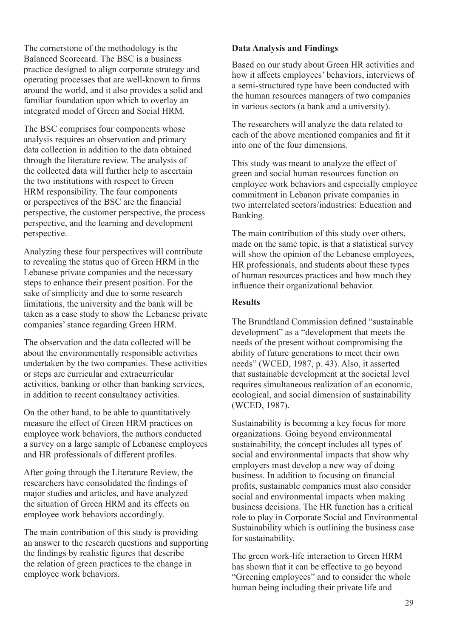The cornerstone of the methodology is the Balanced Scorecard. The BSC is a business practice designed to align corporate strategy and operating processes that are well-known to firms around the world, and it also provides a solid and familiar foundation upon which to overlay an integrated model of Green and Social HRM.

The BSC comprises four components whose analysis requires an observation and primary data collection in addition to the data obtained through the literature review. The analysis of the collected data will further help to ascertain the two institutions with respect to Green HRM responsibility. The four components or perspectives of the BSC are the financial perspective, the customer perspective, the process perspective, and the learning and development perspective.

Analyzing these four perspectives will contribute to revealing the status quo of Green HRM in the Lebanese private companies and the necessary steps to enhance their present position. For the sake of simplicity and due to some research limitations, the university and the bank will be taken as a case study to show the Lebanese private companies' stance regarding Green HRM.

The observation and the data collected will be about the environmentally responsible activities undertaken by the two companies. These activities or steps are curricular and extracurricular activities, banking or other than banking services, in addition to recent consultancy activities.

On the other hand, to be able to quantitatively measure the effect of Green HRM practices on employee work behaviors, the authors conducted a survey on a large sample of Lebanese employees and HR professionals of different profiles.

After going through the Literature Review, the researchers have consolidated the findings of major studies and articles, and have analyzed the situation of Green HRM and its effects on employee work behaviors accordingly.

The main contribution of this study is providing an answer to the research questions and supporting the findings by realistic figures that describe the relation of green practices to the change in employee work behaviors.

## **Data Analysis and Findings**

Based on our study about Green HR activities and how it affects employees' behaviors, interviews of a semi-structured type have been conducted with the human resources managers of two companies in various sectors (a bank and a university).

The researchers will analyze the data related to each of the above mentioned companies and fit it into one of the four dimensions.

This study was meant to analyze the effect of green and social human resources function on employee work behaviors and especially employee commitment in Lebanon private companies in two interrelated sectors/industries: Education and Banking.

The main contribution of this study over others, made on the same topic, is that a statistical survey will show the opinion of the Lebanese employees, HR professionals, and students about these types of human resources practices and how much they influence their organizational behavior.

#### **Results**

The Brundtland Commission defined "sustainable development" as a "development that meets the needs of the present without compromising the ability of future generations to meet their own needs" (WCED, 1987, p. 43). Also, it asserted that sustainable development at the societal level requires simultaneous realization of an economic, ecological, and social dimension of sustainability (WCED, 1987).

Sustainability is becoming a key focus for more organizations. Going beyond environmental sustainability, the concept includes all types of social and environmental impacts that show why employers must develop a new way of doing business. In addition to focusing on financial profits, sustainable companies must also consider social and environmental impacts when making business decisions. The HR function has a critical role to play in Corporate Social and Environmental Sustainability which is outlining the business case for sustainability.

The green work-life interaction to Green HRM has shown that it can be effective to go beyond "Greening employees" and to consider the whole human being including their private life and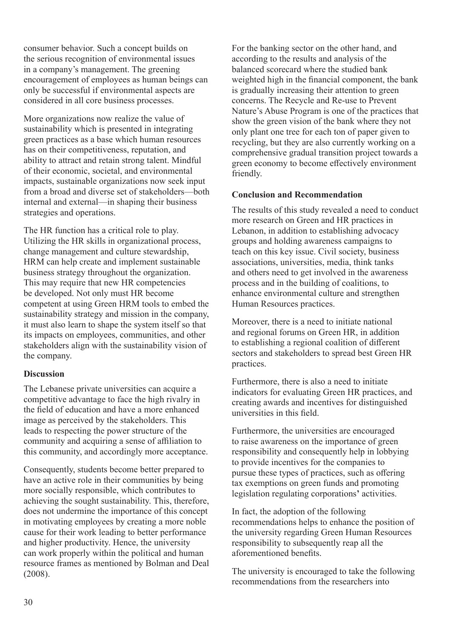consumer behavior. Such a concept builds on the serious recognition of environmental issues in a company's management. The greening encouragement of employees as human beings can only be successful if environmental aspects are considered in all core business processes.

More organizations now realize the value of sustainability which is presented in integrating green practices as a base which human resources has on their competitiveness, reputation, and ability to attract and retain strong talent. Mindful of their economic, societal, and environmental impacts, sustainable organizations now seek input from a broad and diverse set of stakeholders—both internal and external—in shaping their business strategies and operations.

The HR function has a critical role to play. Utilizing the HR skills in organizational process, change management and culture stewardship, HRM can help create and implement sustainable business strategy throughout the organization. This may require that new HR competencies be developed. Not only must HR become competent at using Green HRM tools to embed the sustainability strategy and mission in the company, it must also learn to shape the system itself so that its impacts on employees, communities, and other stakeholders align with the sustainability vision of the company.

## **Discussion**

The Lebanese private universities can acquire a competitive advantage to face the high rivalry in the field of education and have a more enhanced image as perceived by the stakeholders. This leads to respecting the power structure of the community and acquiring a sense of affiliation to this community, and accordingly more acceptance.

Consequently, students become better prepared to have an active role in their communities by being more socially responsible, which contributes to achieving the sought sustainability. This, therefore, does not undermine the importance of this concept in motivating employees by creating a more noble cause for their work leading to better performance and higher productivity. Hence, the university can work properly within the political and human resource frames as mentioned by Bolman and Deal (2008).

For the banking sector on the other hand, and according to the results and analysis of the balanced scorecard where the studied bank weighted high in the financial component, the bank is gradually increasing their attention to green concerns. The Recycle and Re-use to Prevent Nature's Abuse Program is one of the practices that show the green vision of the bank where they not only plant one tree for each ton of paper given to recycling, but they are also currently working on a comprehensive gradual transition project towards a green economy to become effectively environment friendly.

## **Conclusion and Recommendation**

The results of this study revealed a need to conduct more research on Green and HR practices in Lebanon, in addition to establishing advocacy groups and holding awareness campaigns to teach on this key issue. Civil society, business associations, universities, media, think tanks and others need to get involved in the awareness process and in the building of coalitions, to enhance environmental culture and strengthen Human Resources practices.

Moreover, there is a need to initiate national and regional forums on Green HR, in addition to establishing a regional coalition of different sectors and stakeholders to spread best Green HR practices.

Furthermore, there is also a need to initiate indicators for evaluating Green HR practices, and creating awards and incentives for distinguished universities in this field.

Furthermore, the universities are encouraged to raise awareness on the importance of green responsibility and consequently help in lobbying to provide incentives for the companies to pursue these types of practices, such as offering tax exemptions on green funds and promoting legislation regulating corporations**'** activities.

In fact, the adoption of the following recommendations helps to enhance the position of the university regarding Green Human Resources responsibility to subsequently reap all the aforementioned benefits.

The university is encouraged to take the following recommendations from the researchers into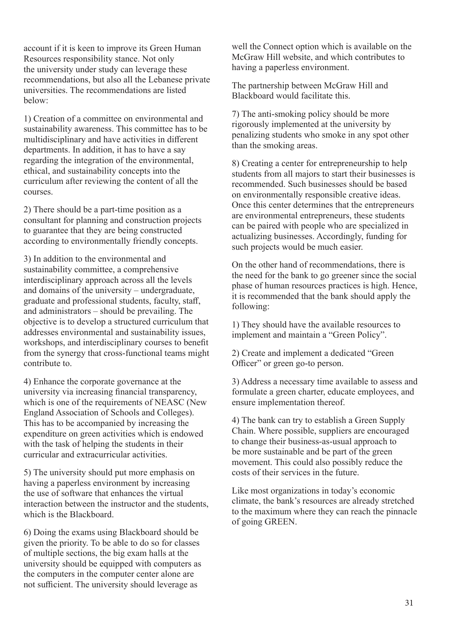account if it is keen to improve its Green Human Resources responsibility stance. Not only the university under study can leverage these recommendations, but also all the Lebanese private universities. The recommendations are listed below:

1) Creation of a committee on environmental and sustainability awareness. This committee has to be multidisciplinary and have activities in different departments. In addition, it has to have a say regarding the integration of the environmental, ethical, and sustainability concepts into the curriculum after reviewing the content of all the courses.

2) There should be a part-time position as a consultant for planning and construction projects to guarantee that they are being constructed according to environmentally friendly concepts.

3) In addition to the environmental and sustainability committee, a comprehensive interdisciplinary approach across all the levels and domains of the university – undergraduate, graduate and professional students, faculty, staff, and administrators – should be prevailing. The objective is to develop a structured curriculum that addresses environmental and sustainability issues, workshops, and interdisciplinary courses to benefit from the synergy that cross-functional teams might contribute to.

4) Enhance the corporate governance at the university via increasing financial transparency, which is one of the requirements of NEASC (New England Association of Schools and Colleges). This has to be accompanied by increasing the expenditure on green activities which is endowed with the task of helping the students in their curricular and extracurricular activities.

5) The university should put more emphasis on having a paperless environment by increasing the use of software that enhances the virtual interaction between the instructor and the students, which is the Blackboard.

6) Doing the exams using Blackboard should be given the priority. To be able to do so for classes of multiple sections, the big exam halls at the university should be equipped with computers as the computers in the computer center alone are not sufficient. The university should leverage as

well the Connect option which is available on the McGraw Hill website, and which contributes to having a paperless environment.

The partnership between McGraw Hill and Blackboard would facilitate this.

7) The anti-smoking policy should be more rigorously implemented at the university by penalizing students who smoke in any spot other than the smoking areas.

8) Creating a center for entrepreneurship to help students from all majors to start their businesses is recommended. Such businesses should be based on environmentally responsible creative ideas. Once this center determines that the entrepreneurs are environmental entrepreneurs, these students can be paired with people who are specialized in actualizing businesses. Accordingly, funding for such projects would be much easier.

On the other hand of recommendations, there is the need for the bank to go greener since the social phase of human resources practices is high. Hence, it is recommended that the bank should apply the following:

1) They should have the available resources to implement and maintain a "Green Policy".

2) Create and implement a dedicated "Green Officer" or green go-to person.

3) Address a necessary time available to assess and formulate a green charter, educate employees, and ensure implementation thereof.

4) The bank can try to establish a Green Supply Chain. Where possible, suppliers are encouraged to change their business-as-usual approach to be more sustainable and be part of the green movement. This could also possibly reduce the costs of their services in the future.

Like most organizations in today's economic climate, the bank's resources are already stretched to the maximum where they can reach the pinnacle of going GREEN.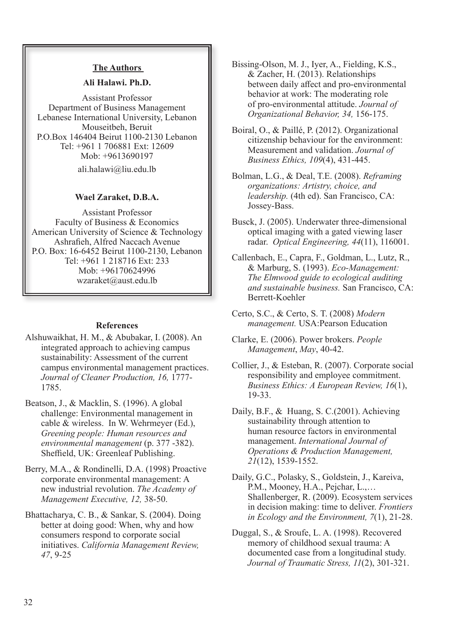#### **The Authors**

#### **Ali Halawi. Ph.D.**

Assistant Professor Department of Business Management Lebanese International University, Lebanon Mouseitbeh, Beruit P.O.Box 146404 Beirut 1100-2130 Lebanon Tel: +961 1 706881 Ext: 12609 Mob: +9613690197

ali.halawi@liu.edu.lb

#### **Wael Zaraket, D.B.A.**

Assistant Professor Faculty of Business & Economics American University of Science & Technology Ashrafieh, Alfred Naccach Avenue P.O. Box: 16-6452 Beirut 1100-2130, Lebanon Tel: +961 1 218716 Ext: 233 Mob: +96170624996 wzaraket@aust.edu.lb

#### **References**

- Alshuwaikhat, H. M., & Abubakar, I. (2008). An integrated approach to achieving campus sustainability: Assessment of the current campus environmental management practices. *Journal of Cleaner Production, 16,* 1777- 1785.
- Beatson, J., & Macklin, S. (1996). A global challenge: Environmental management in cable & wireless. In W. Wehrmeyer (Ed.), *Greening people: Human resources and environmental management* (p. 377 -382). Sheffield, UK: Greenleaf Publishing.
- Berry, M.A., & Rondinelli, D.A. (1998) Proactive corporate environmental management: A new industrial revolution. *The Academy of Management Executive, 12,* 38-50.
- Bhattacharya, C. B., & Sankar, S. (2004). Doing better at doing good: When, why and how consumers respond to corporate social initiatives. *California Management Review, 47*, 9-25
- Bissing-Olson, M. J., Iyer, A., Fielding, K.S., & Zacher, H. (2013). Relationships between daily affect and pro-environmental behavior at work: The moderating role of pro-environmental attitude. *Journal of Organizational Behavior, 34,* 156-175.
- Boiral, O., & Paillé, P. (2012). Organizational citizenship behaviour for the environment: Measurement and validation. *Journal of Business Ethics, 109*(4), 431-445.
- Bolman, L.G., & Deal, T.E. (2008). *Reframing organizations: Artistry, choice, and leadership.* (4th ed). San Francisco, CA: Jossey-Bass.
- Busck, J. (2005). Underwater three-dimensional optical imaging with a gated viewing laser radar. *Optical Engineering, 44*(11), 116001.
- Callenbach, E., Capra, F., Goldman, L., Lutz, R., & Marburg, S. (1993). *Eco-Management: The Elmwood guide to ecological auditing and sustainable business.* San Francisco, CA: Berrett-Koehler
- Certo, S.C., & Certo, S. T. (2008) *Modern management.* USA:Pearson Education
- Clarke, E. (2006). Power brokers. *People Management*, *May*, 40-42.
- Collier, J., & Esteban, R. (2007). Corporate social responsibility and employee commitment. *Business Ethics: A European Review, 16*(1), 19-33.
- Daily, B.F., & Huang, S. C.(2001). Achieving sustainability through attention to human resource factors in environmental management. *International Journal of Operations & Production Management, 21*(12), 1539-1552.
- Daily, G.C., Polasky, S., Goldstein, J., Kareiva, P.M., Mooney, H.A., Pejchar, L.,… Shallenberger, R. (2009). Ecosystem services in decision making: time to deliver. *Frontiers in Ecology and the Environment, 7*(1), 21-28.
- Duggal, S., & Sroufe, L. A. (1998). Recovered memory of childhood sexual trauma: A documented case from a longitudinal study. *Journal of Traumatic Stress, 11*(2), 301-321.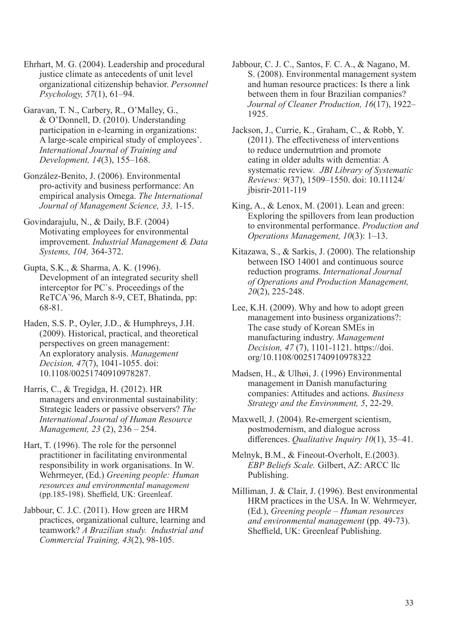Ehrhart, M. G. (2004). Leadership and procedural justice climate as antecedents of unit level organizational citizenship behavior. *Personnel Psychology, 57*(1), 61–94.

Garavan, T. N., Carbery, R., O'Malley, G., & O'Donnell, D. (2010). Understanding participation in e-learning in organizations: A large-scale empirical study of employees'. *International Journal of Training and Development, 14*(3), 155–168.

González-Benito, J. (2006). Environmental pro-activity and business performance: An empirical analysis Omega. *The International Journal of Management Science, 33,* 1-15.

Govindarajulu, N., & Daily, B.F. (2004) Motivating employees for environmental improvement. *Industrial Management & Data Systems, 104,* 364-372.

Gupta, S.K., & Sharma, A. K. (1996). Development of an integrated security shell interceptor for PC`s. Proceedings of the ReTCA`96, March 8-9, CET, Bhatinda, pp: 68-81.

Haden, S.S. P., Oyler, J.D., & Humphreys, J.H. (2009). Historical, practical, and theoretical perspectives on green management: An exploratory analysis. *Management Decision, 47*(7), 1041-1055. doi: 10.1108/00251740910978287.

Harris, C., & Tregidga, H. (2012). HR managers and environmental sustainability: Strategic leaders or passive observers? *The International Journal of Human Resource Management, 23* (2), 236 – 254.

Hart, T. (1996). The role for the personnel practitioner in facilitating environmental responsibility in work organisations. In W. Wehrmeyer, (Ed.) *Greening people: Human resources and environmental management* (pp.185-198). Sheffield, UK: Greenleaf.

Jabbour, C. J.C. (2011). How green are HRM practices, organizational culture, learning and teamwork? *A Brazilian study. Industrial and Commercial Training, 43*(2), 98-105.

Jabbour, C. J. C., Santos, F. C. A., & Nagano, M. S. (2008). Environmental management system and human resource practices: Is there a link between them in four Brazilian companies? *Journal of Cleaner Production, 16*(17), 1922– 1925.

Jackson, J., Currie, K., Graham, C., & Robb, Y. (2011). The effectiveness of interventions to reduce undernutrtion and promote eating in older adults with dementia: A systematic review*. JBI Library of Systematic Reviews: 9*(37), 1509–1550. doi: 10.11124/ jbisrir-2011-119

King, A., & Lenox, M. (2001). Lean and green: Exploring the spillovers from lean production to environmental performance. *Production and Operations Management, 10*(3): 1–13.

Kitazawa, S., & Sarkis, J. (2000). The relationship between ISO 14001 and continuous source reduction programs. *International Journal of Operations and Production Management, 20*(2), 225-248.

Lee, K.H. (2009). Why and how to adopt green management into business organizations?: The case study of Korean SMEs in manufacturing industry. *Management Decision, 47* (7), 1101-1121. https://doi. org/10.1108/00251740910978322

Madsen, H., & Ulhøi, J. (1996) Environmental management in Danish manufacturing companies: Attitudes and actions. *Business Strategy and the Environment, 5*, 22-29.

Maxwell, J. (2004). Re-emergent scientism, postmodernism, and dialogue across differences. *Qualitative Inquiry 10*(1), 35–41.

Melnyk, B.M., & Fineout-Overholt, E.(2003). *EBP Beliefs Scale.* Gilbert, AZ: ARCC llc Publishing.

Milliman, J. & Clair, J. (1996). Best environmental HRM practices in the USA. In W. Wehrmeyer, (Ed.), *Greening people – Human resources and environmental management* (pp. 49-73). Sheffield, UK: Greenleaf Publishing.